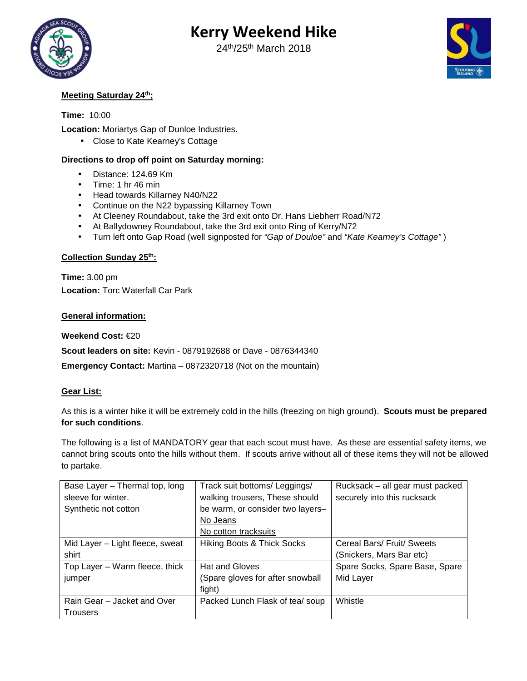Kerry Weekend Hike

24th/25th March 2018



## **Meeting Saturday 24th;**

**Time:** 10:00 **Location:** Moriartys Gap of Dunloe Industries.

• Close to Kate Kearney's Cottage

### **Directions to drop off point on Saturday morning:**

- Distance: 124.69 Km
- Time: 1 hr 46 min
- Head towards Killarney N40/N22
- Continue on the N22 bypassing Killarney Town
- At Cleeney Roundabout, take the 3rd exit onto Dr. Hans Liebherr Road/N72
- At Ballydowney Roundabout, take the 3rd exit onto Ring of Kerry/N72
- Turn left onto Gap Road (well signposted for "Gap of Douloe" and "Kate Kearney's Cottage")

#### **Collection Sunday 25th:**

**Time:** 3.00 pm **Location:** Torc Waterfall Car Park

#### **General information:**

**Weekend Cost:** €20

**Scout leaders on site:** Kevin - 0879192688 or Dave - 0876344340

**Emergency Contact:** Martina – 0872320718 (Not on the mountain)

#### **Gear List:**

As this is a winter hike it will be extremely cold in the hills (freezing on high ground). **Scouts must be prepared for such conditions**.

The following is a list of MANDATORY gear that each scout must have. As these are essential safety items, we cannot bring scouts onto the hills without them. If scouts arrive without all of these items they will not be allowed to partake.

| Base Layer - Thermal top, long  | Track suit bottoms/ Leggings/    | Rucksack - all gear must packed |
|---------------------------------|----------------------------------|---------------------------------|
| sleeve for winter.              | walking trousers, These should   | securely into this rucksack     |
| Synthetic not cotton            | be warm, or consider two layers- |                                 |
|                                 | No Jeans                         |                                 |
|                                 | No cotton tracksuits             |                                 |
| Mid Layer - Light fleece, sweat | Hiking Boots & Thick Socks       | Cereal Bars/ Fruit/ Sweets      |
| shirt                           |                                  | (Snickers, Mars Bar etc)        |
| Top Layer - Warm fleece, thick  | <b>Hat and Gloves</b>            | Spare Socks, Spare Base, Spare  |
| jumper                          | (Spare gloves for after snowball | Mid Layer                       |
|                                 | fight)                           |                                 |
| Rain Gear - Jacket and Over     | Packed Lunch Flask of tea/ soup  | Whistle                         |
| Trousers                        |                                  |                                 |